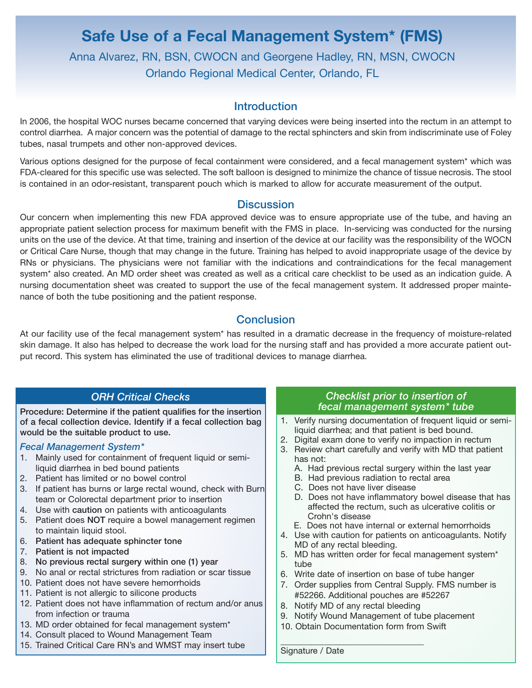# **Safe Use of a Fecal Management System\* (FMS)** Anna Alvarez, RN, BSN, CWOCN and Georgene Hadley, RN, MSN, CWOCN Orlando Regional Medical Center, Orlando, FL

# **Introduction**

In 2006, the hospital WOC nurses became concerned that varying devices were being inserted into the rectum in an attempt to control diarrhea. A major concern was the potential of damage to the rectal sphincters and skin from indiscriminate use of Foley tubes, nasal trumpets and other non-approved devices.

Various options designed for the purpose of fecal containment were considered, and a fecal management system\* which was FDA-cleared for this specific use was selected. The soft balloon is designed to minimize the chance of tissue necrosis. The stool is contained in an odor-resistant, transparent pouch which is marked to allow for accurate measurement of the output.

## **Discussion**

Our concern when implementing this new FDA approved device was to ensure appropriate use of the tube, and having an appropriate patient selection process for maximum benefit with the FMS in place. In-servicing was conducted for the nursing units on the use of the device. At that time, training and insertion of the device at our facility was the responsibility of the WOCN or Critical Care Nurse, though that may change in the future. Training has helped to avoid inappropriate usage of the device by RNs or physicians. The physicians were not familiar with the indications and contraindications for the fecal management system\* also created. An MD order sheet was created as well as a critical care checklist to be used as an indication guide. A nursing documentation sheet was created to support the use of the fecal management system. It addressed proper maintenance of both the tube positioning and the patient response.

# **Conclusion**

At our facility use of the fecal management system\* has resulted in a dramatic decrease in the frequency of moisture-related skin damage. It also has helped to decrease the work load for the nursing staff and has provided a more accurate patient output record. This system has eliminated the use of traditional devices to manage diarrhea.

# *ORH Critical Checks*

Procedure: Determine if the patient qualifies for the insertion of a fecal collection device. Identify if a fecal collection bag would be the suitable product to use.

### *Fecal Management System\**

- 1. Mainly used for containment of frequent liquid or semiliquid diarrhea in bed bound patients
- 2. Patient has limited or no bowel control
- 3. If patient has burns or large rectal wound, check with Burn team or Colorectal department prior to insertion
- 4. Use with caution on patients with anticoagulants
- 5. Patient does NOT require a bowel management regimen to maintain liquid stool.
- 6. Patient has adequate sphincter tone
- 7. Patient is not impacted
- 8. No previous rectal surgery within one (1) year
- 9. No anal or rectal strictures from radiation or scar tissue
- 10. Patient does not have severe hemorrhoids
- 11. Patient is not allergic to silicone products
- 12. Patient does not have inflammation of rectum and/or anus from infection or trauma
- 13. MD order obtained for fecal management system\*
- 14. Consult placed to Wound Management Team
- 15. Trained Critical Care RN's and WMST may insert tube

### *Checklist prior to insertion of fecal management system\* tube*

- 1. Verify nursing documentation of frequent liquid or semiliquid diarrhea; and that patient is bed bound.
- 2. Digital exam done to verify no impaction in rectum
- 3. Review chart carefully and verify with MD that patient has not:
	- A. Had previous rectal surgery within the last year
	- B. Had previous radiation to rectal area
	- C. Does not have liver disease
	- D. Does not have inflammatory bowel disease that has affected the rectum, such as ulcerative colitis or Crohn's disease
	- E. Does not have internal or external hemorrhoids
- 4. Use with caution for patients on anticoagulants. Notify MD of any rectal bleeding.
- 5. MD has written order for fecal management system\* tube
- 6. Write date of insertion on base of tube hanger
- 7. Order supplies from Central Supply. FMS number is #52266. Additional pouches are #52267
- 8. Notify MD of any rectal bleeding

 $\mathcal{L}_\mathcal{L}$  , we can assume that the contribution of the contribution of  $\mathcal{L}_\mathcal{L}$ 

- 9. Notify Wound Management of tube placement
- 10. Obtain Documentation form from Swift

Signature / Date